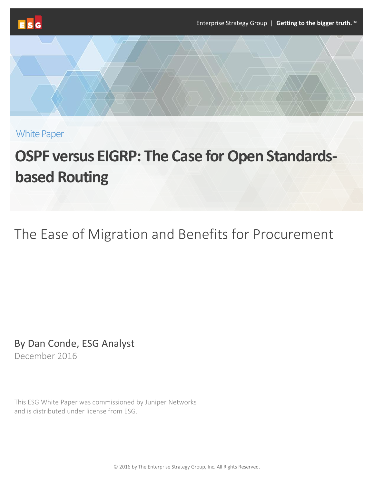

White Paper

# **OSPF versus EIGRP: The Case for Open Standardsbased Routing**

# The Ease of Migration and Benefits for Procurement

By Dan Conde, ESG Analyst December 2016

This ESG White Paper was commissioned by Juniper Networks and is distributed under license from ESG.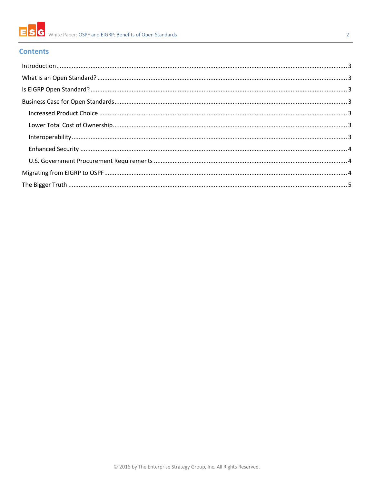

# $\overline{2}$

# **Contents**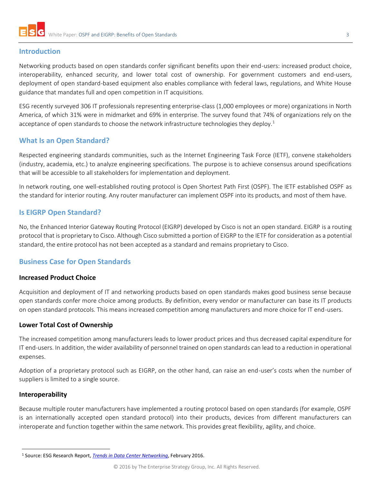

# <span id="page-2-0"></span>**Introduction**

Networking products based on open standards confer significant benefits upon their end-users: increased product choice, interoperability, enhanced security, and lower total cost of ownership. For government customers and end-users, deployment of open standard-based equipment also enables compliance with federal laws, regulations, and White House guidance that mandates full and open competition in IT acquisitions.

ESG recently surveyed 306 IT professionals representing enterprise-class (1,000 employees or more) organizations in North America, of which 31% were in midmarket and 69% in enterprise. The survey found that 74% of organizations rely on the acceptance of open standards to choose the network infrastructure technologies they deploy.<sup>1</sup>

# <span id="page-2-1"></span>**What Is an Open Standard?**

Respected engineering standards communities, such as the Internet Engineering Task Force (IETF), convene stakeholders (industry, academia, etc.) to analyze engineering specifications. The purpose is to achieve consensus around specifications that will be accessible to all stakeholders for implementation and deployment.

In network routing, one well-established routing protocol is Open Shortest Path First (OSPF). The IETF established OSPF as the standard for interior routing. Any router manufacturer can implement OSPF into its products, and most of them have.

# <span id="page-2-2"></span>**Is EIGRP Open Standard?**

No, the Enhanced Interior Gateway Routing Protocol (EIGRP) developed by Cisco is not an open standard. EIGRP is a routing protocol that is proprietary to Cisco. Although Cisco submitted a portion of EIGRP to the IETF for consideration as a potential standard, the entire protocol has not been accepted as a standard and remains proprietary to Cisco.

# <span id="page-2-3"></span>**Business Case for Open Standards**

#### <span id="page-2-4"></span>**Increased Product Choice**

Acquisition and deployment of IT and networking products based on open standards makes good business sense because open standards confer more choice among products. By definition, every vendor or manufacturer can base its IT products on open standard protocols. This means increased competition among manufacturers and more choice for IT end-users.

#### <span id="page-2-5"></span>**Lower Total Cost of Ownership**

The increased competition among manufacturers leads to lower product prices and thus decreased capital expenditure for IT end-users. In addition, the wider availability of personnel trained on open standards can lead to a reduction in operational expenses.

Adoption of a proprietary protocol such as EIGRP, on the other hand, can raise an end-user's costs when the number of suppliers is limited to a single source.

#### <span id="page-2-6"></span>**Interoperability**

Because multiple router manufacturers have implemented a routing protocol based on open standards (for example, OSPF is an internationally accepted open standard protocol) into their products, devices from different manufacturers can interoperate and function together within the same network. This provides great flexibility, agility, and choice.

 <sup>1</sup> Source: ESG Research Report, *[Trends in Data Center Networking](http://www.esg-global.com/research-reports/trends-in-data-center-networking/)*, February 2016.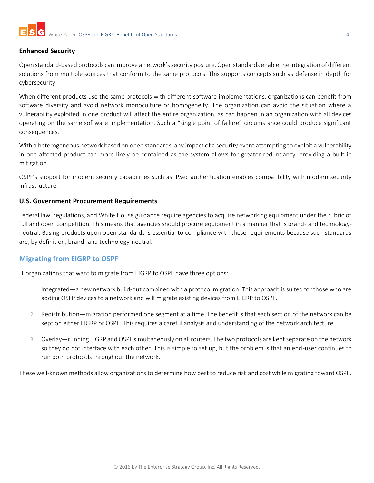

#### <span id="page-3-0"></span>**Enhanced Security**

Open standard-based protocols can improve a network's security posture. Open standards enable the integration of different solutions from multiple sources that conform to the same protocols. This supports concepts such as defense in depth for cybersecurity.

When different products use the same protocols with different software implementations, organizations can benefit from software diversity and avoid network monoculture or homogeneity. The organization can avoid the situation where a vulnerability exploited in one product will affect the entire organization, as can happen in an organization with all devices operating on the same software implementation. Such a "single point of failure" circumstance could produce significant consequences.

With a heterogeneous network based on open standards, any impact of a security event attempting to exploit a vulnerability in one affected product can more likely be contained as the system allows for greater redundancy, providing a built-in mitigation.

OSPF's support for modern security capabilities such as IPSec authentication enables compatibility with modern security infrastructure.

#### <span id="page-3-1"></span>**U.S. Government Procurement Requirements**

Federal law, regulations, and White House guidance require agencies to acquire networking equipment under the rubric of full and open competition. This means that agencies should procure equipment in a manner that is brand- and technologyneutral. Basing products upon open standards is essential to compliance with these requirements because such standards are, by definition, brand- and technology-neutral.

## <span id="page-3-2"></span>**Migrating from EIGRP to OSPF**

IT organizations that want to migrate from EIGRP to OSPF have three options:

- 1. Integrated—a new network build-out combined with a protocol migration. This approach is suited for those who are adding OSFP devices to a network and will migrate existing devices from EIGRP to OSPF.
- 2. Redistribution—migration performed one segment at a time. The benefit is that each section of the network can be kept on either EIGRP or OSPF. This requires a careful analysis and understanding of the network architecture.
- 3. Overlay—running EIGRP and OSPF simultaneously on all routers. The two protocols are kept separate on the network so they do not interface with each other. This is simple to set up, but the problem is that an end-user continues to run both protocols throughout the network.

These well-known methods allow organizations to determine how best to reduce risk and cost while migrating toward OSPF.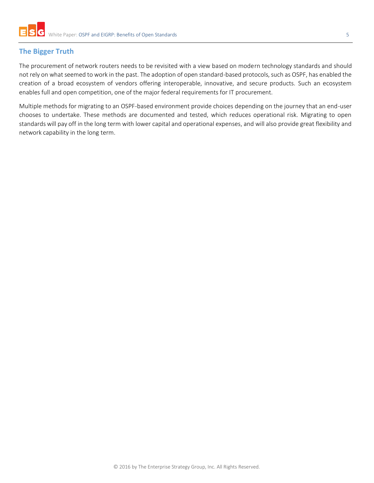# <span id="page-4-0"></span>**The Bigger Truth**

The procurement of network routers needs to be revisited with a view based on modern technology standards and should not rely on what seemed to work in the past. The adoption of open standard-based protocols, such as OSPF, has enabled the creation of a broad ecosystem of vendors offering interoperable, innovative, and secure products. Such an ecosystem enables full and open competition, one of the major federal requirements for IT procurement.

Multiple methods for migrating to an OSPF-based environment provide choices depending on the journey that an end-user chooses to undertake. These methods are documented and tested, which reduces operational risk. Migrating to open standards will pay off in the long term with lower capital and operational expenses, and will also provide great flexibility and network capability in the long term.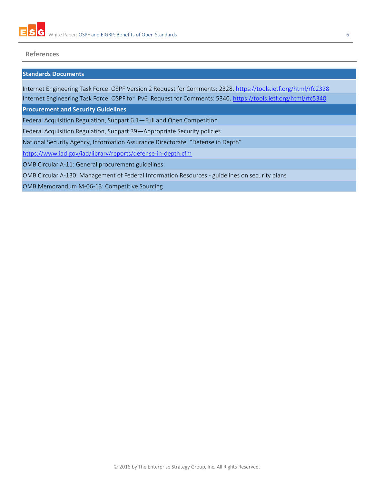

#### **References**

#### **Standards Documents**

Internet Engineering Task Force: OSPF Version 2 Request for Comments: 2328.<https://tools.ietf.org/html/rfc2328>

Internet Engineering Task Force: OSPF for IPv6 Request for Comments: 5340.<https://tools.ietf.org/html/rfc5340>

**Procurement and Security Guidelines**

Federal Acquisition Regulation, Subpart 6.1—Full and Open Competition

Federal Acquisition Regulation, Subpart 39—Appropriate Security policies

National Security Agency, Information Assurance Directorate. "Defense in Depth"

<https://www.iad.gov/iad/library/reports/defense-in-depth.cfm>

OMB Circular A-11: General procurement guidelines

OMB Circular A-130: Management of Federal Information Resources - guidelines on security plans

OMB Memorandum M-06-13: Competitive Sourcing